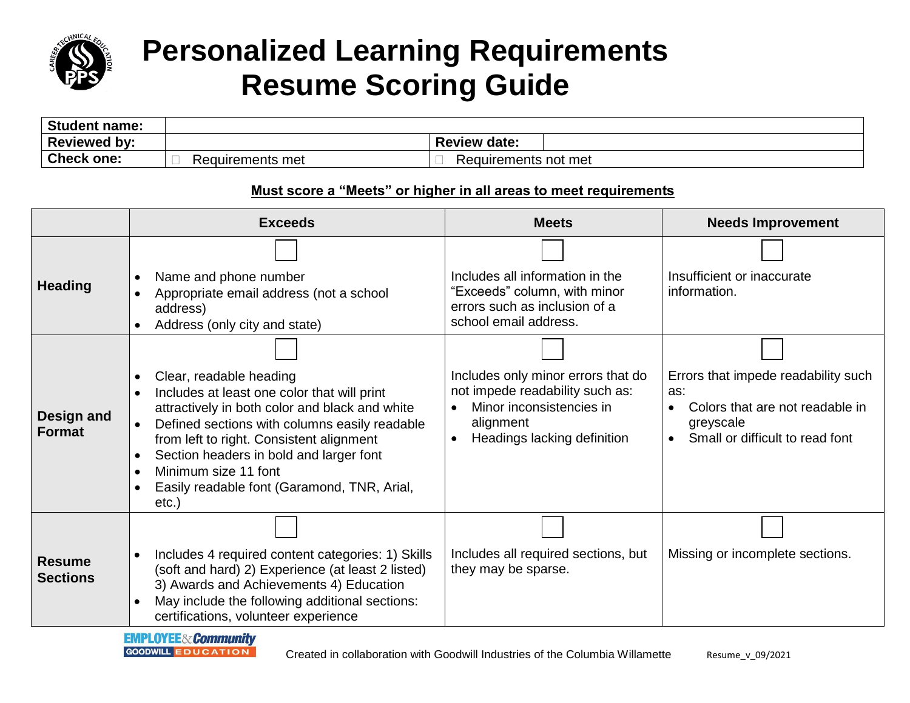

## **Personalized Learning Requirements Resume Scoring Guide**

| <b>Student name:</b> |                  |                         |
|----------------------|------------------|-------------------------|
| <b>Reviewed by:</b>  |                  | <b>Review</b><br>ˈdate: |
| <b>Check one:</b>    | Requirements met | Requirements not met    |

## **Must score a "Meets" or higher in all areas to meet requirements**

|                                  | <b>Exceeds</b>                                                                                                                                                                                                                                                                                                                                                                                                                 | <b>Meets</b>                                                                                                                                  | <b>Needs Improvement</b>                                                                                                                   |
|----------------------------------|--------------------------------------------------------------------------------------------------------------------------------------------------------------------------------------------------------------------------------------------------------------------------------------------------------------------------------------------------------------------------------------------------------------------------------|-----------------------------------------------------------------------------------------------------------------------------------------------|--------------------------------------------------------------------------------------------------------------------------------------------|
| <b>Heading</b>                   | Name and phone number<br>$\bullet$<br>Appropriate email address (not a school<br>address)<br>Address (only city and state)<br>$\bullet$                                                                                                                                                                                                                                                                                        | Includes all information in the<br>"Exceeds" column, with minor<br>errors such as inclusion of a<br>school email address.                     | Insufficient or inaccurate<br>information.                                                                                                 |
| Design and<br><b>Format</b>      | Clear, readable heading<br>$\bullet$<br>Includes at least one color that will print<br>$\bullet$<br>attractively in both color and black and white<br>Defined sections with columns easily readable<br>$\bullet$<br>from left to right. Consistent alignment<br>Section headers in bold and larger font<br>$\bullet$<br>Minimum size 11 font<br>$\bullet$<br>Easily readable font (Garamond, TNR, Arial,<br>$\bullet$<br>etc.) | Includes only minor errors that do<br>not impede readability such as:<br>Minor inconsistencies in<br>alignment<br>Headings lacking definition | Errors that impede readability such<br>as:<br>Colors that are not readable in<br>$\bullet$<br>greyscale<br>Small or difficult to read font |
| <b>Resume</b><br><b>Sections</b> | Includes 4 required content categories: 1) Skills<br>$\bullet$<br>(soft and hard) 2) Experience (at least 2 listed)<br>3) Awards and Achievements 4) Education<br>May include the following additional sections:<br>$\bullet$<br>certifications, volunteer experience                                                                                                                                                          | Includes all required sections, but<br>they may be sparse.                                                                                    | Missing or incomplete sections.                                                                                                            |

**EMPLOYEE&Community GOODWILL EDUCATION**